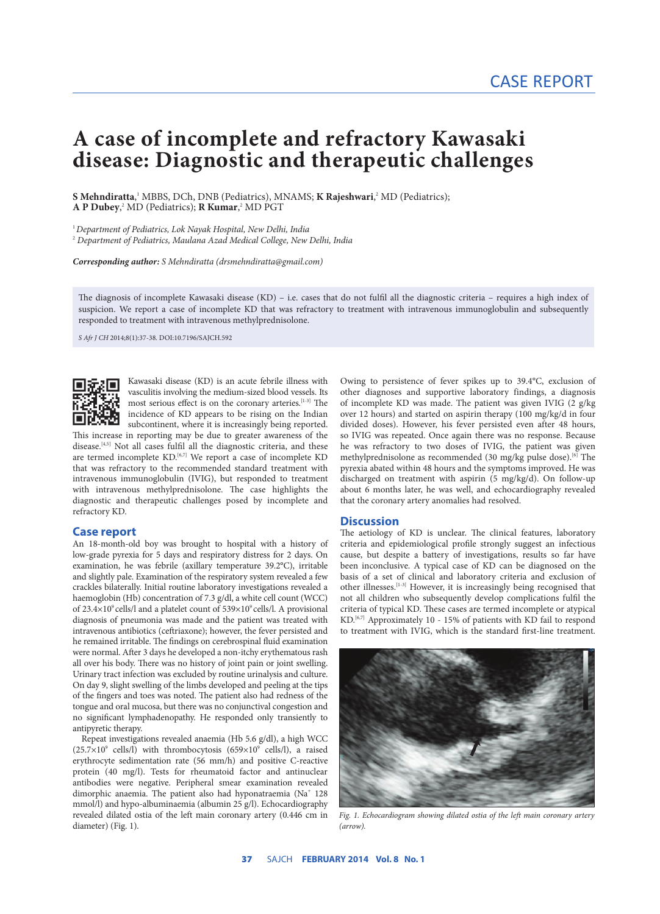## **A case of incomplete and refractory Kawasaki disease: Diagnostic and therapeutic challenges**

**S Mehndiratta**, <sup>1</sup> MBBS, DCh, DNB (Pediatrics), MNAMS; **K Rajeshwari**,<sup>2</sup> MD (Pediatrics); **A P Dubey,**<sup>2</sup> MD (Pediatrics); **R Kumar,**<sup>2</sup> MD PGT

1 *Department of Pediatrics, Lok Nayak Hospital, New Delhi, India*

2  *Department of Pediatrics, Maulana Azad Medical College, New Delhi, India*

*Corresponding author: S Mehndiratta (drsmehndiratta@gmail.com)*

The diagnosis of incomplete Kawasaki disease (KD) – i.e. cases that do not fulfil all the diagnostic criteria – requires a high index of suspicion. We report a case of incomplete KD that was refractory to treatment with intravenous immunoglobulin and subsequently responded to treatment with intravenous methylprednisolone.

*S Afr J CH* 2014;8(1):37-38. DOI:10.7196/SAJCH.592



Kawasaki disease (KD) is an acute febrile illness with vasculitis involving the medium-sized blood vessels. Its most serious effect is on the coronary arteries.<sup>[1-3]</sup> The incidence of KD appears to be rising on the Indian subcontinent, where it is increasingly being reported.

This increase in reporting may be due to greater awareness of the disease.<sup>[4,5]</sup> Not all cases fulfil all the diagnostic criteria, and these are termed incomplete KD.<sup>[6,7]</sup> We report a case of incomplete KD that was refractory to the recommended standard treatment with intravenous immunoglobulin (IVIG), but responded to treatment with intravenous methylprednisolone. The case highlights the diagnostic and therapeutic challenges posed by incomplete and refractory KD.

## **Case report**

An 18-month-old boy was brought to hospital with a history of low-grade pyrexia for 5 days and respiratory distress for 2 days. On examination, he was febrile (axillary temperature 39.2°C), irritable and slightly pale. Examination of the respiratory system revealed a few crackles bilaterally. Initial routine laboratory investigations revealed a haemoglobin (Hb) concentration of 7.3 g/dl, a white cell count (WCC) of  $23.4\times10^9$  cells/l and a platelet count of  $539\times10^9$  cells/l. A provisional diagnosis of pneumonia was made and the patient was treated with intravenous antibiotics (ceftriaxone); however, the fever persisted and he remained irritable. The findings on cerebrospinal fluid examination were normal. After 3 days he developed a non-itchy erythematous rash all over his body. There was no history of joint pain or joint swelling. Urinary tract infection was excluded by routine urinalysis and culture. On day 9, slight swelling of the limbs developed and peeling at the tips of the fingers and toes was noted. The patient also had redness of the tongue and oral mucosa, but there was no conjunctival congestion and no signicant lymphadenopathy. He responded only transiently to antipyretic therapy.

Repeat investigations revealed anaemia (Hb 5.6 g/dl), a high WCC  $(25.7 \times 10^9 \text{ cells/l})$  with thrombocytosis  $(659 \times 10^9 \text{ cells/l})$ , a raised erythrocyte sedimentation rate (56 mm/h) and positive C-reactive protein (40 mg/l). Tests for rheumatoid factor and antinuclear antibodies were negative. Peripheral smear examination revealed dimorphic anaemia. The patient also had hyponatraemia (Na+ 128 mmol/l) and hypo-albuminaemia (albumin 25 g/l). Echocardiography revealed dilated ostia of the left main coronary artery (0.446 cm in diameter) (Fig. 1).

Owing to persistence of fever spikes up to 39.4°C, exclusion of other diagnoses and supportive laboratory findings, a diagnosis of incomplete KD was made. The patient was given IVIG (2 g/kg over 12 hours) and started on aspirin therapy (100 mg/kg/d in four divided doses). However, his fever persisted even after 48 hours, so IVIG was repeated. Once again there was no response. Because he was refractory to two doses of IVIG, the patient was given methylprednisolone as recommended (30 mg/kg pulse dose).<sup>[6]</sup> The pyrexia abated within 48 hours and the symptoms improved. He was discharged on treatment with aspirin (5 mg/kg/d). On follow-up about 6 months later, he was well, and echocardiography revealed that the coronary artery anomalies had resolved.

## **Discussion**

The aetiology of KD is unclear. The clinical features, laboratory criteria and epidemiological profile strongly suggest an infectious cause, but despite a battery of investigations, results so far have been inconclusive. A typical case of KD can be diagnosed on the basis of a set of clinical and laboratory criteria and exclusion of other illnesses.<sup>[1-3]</sup> However, it is increasingly being recognised that not all children who subsequently develop complications fulfil the criteria of typical KD. These cases are termed incomplete or atypical KD.[6,7] Approximately 10 - 15% of patients with KD fail to respond to treatment with IVIG, which is the standard first-line treatment.



Fig. 1. Echocardiogram showing dilated ostia of the left main coronary artery *(arrow).*